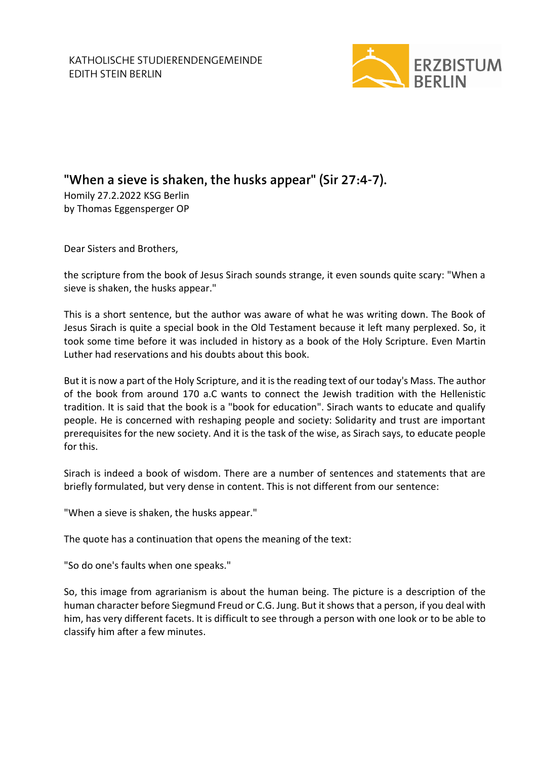

## **"When a sieve is shaken, the husks appear" (Sir 27:4-7).**

Homily 27.2.2022 KSG Berlin by Thomas Eggensperger OP

Dear Sisters and Brothers,

the scripture from the book of Jesus Sirach sounds strange, it even sounds quite scary: "When a sieve is shaken, the husks appear."

This is a short sentence, but the author was aware of what he was writing down. The Book of Jesus Sirach is quite a special book in the Old Testament because it left many perplexed. So, it took some time before it was included in history as a book of the Holy Scripture. Even Martin Luther had reservations and his doubts about this book.

But it is now a part of the Holy Scripture, and it is the reading text of our today's Mass. The author of the book from around 170 a.C wants to connect the Jewish tradition with the Hellenistic tradition. It is said that the book is a "book for education". Sirach wants to educate and qualify people. He is concerned with reshaping people and society: Solidarity and trust are important prerequisites for the new society. And it is the task of the wise, as Sirach says, to educate people for this.

Sirach is indeed a book of wisdom. There are a number of sentences and statements that are briefly formulated, but very dense in content. This is not different from our sentence:

"When a sieve is shaken, the husks appear."

The quote has a continuation that opens the meaning of the text:

"So do one's faults when one speaks."

So, this image from agrarianism is about the human being. The picture is a description of the human character before Siegmund Freud or C.G. Jung. But it shows that a person, if you deal with him, has very different facets. It is difficult to see through a person with one look or to be able to classify him after a few minutes.